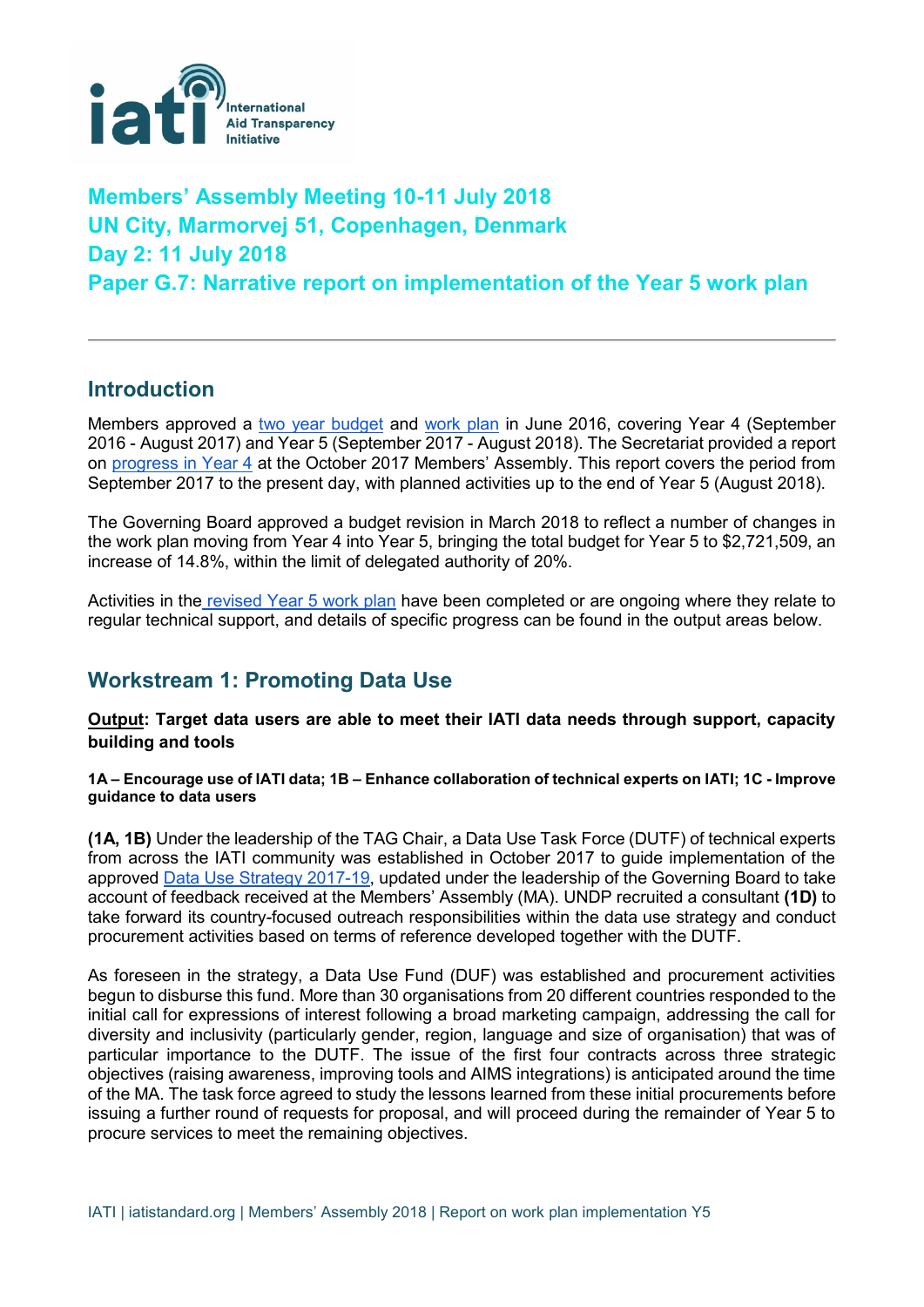

# **Members' Assembly Meeting 10-11 July 2018 UN City, Marmorvej 51, Copenhagen, Denmark Day 2: 11 July 2018 Paper G.7: Narrative report on implementation of the Year 5 work plan**

# **Introduction**

Members approved a [two year budget](https://www.aidtransparency.net/wp-content/uploads/2016/06/Paper-4.C2-IATI-budget-Y4-Y5-2016-18.pdf) and [work plan](https://www.aidtransparency.net/wp-content/uploads/2016/06/Paper-4C.1-IATI-Workplan-Y4-5-2016-18.pdf) in June 2016, covering Year 4 (September 2016 - August 2017) and Year 5 (September 2017 - August 2018). The Secretariat provided a report on [progress in Year 4](https://www.aidtransparency.net/wp-content/uploads/2017/09/Paper-2B-Report-on-implementation-of-IATI-Year-4-workplan.pdf) at the October 2017 Members' Assembly. This report covers the period from September 2017 to the present day, with planned activities up to the end of Year 5 (August 2018).

The Governing Board approved a budget revision in March 2018 to reflect a number of changes in the work plan moving from Year 4 into Year 5, bringing the total budget for Year 5 to \$2,721,509, an increase of 14.8%, within the limit of delegated authority of 20%.

Activities in the [revised Year 5 work plan](https://www.aidtransparency.net/wp-content/uploads/2018/07/IATI-Workplan-Y5-revised-12-Mar-2018.pdf) have been completed or are ongoing where they relate to regular technical support, and details of specific progress can be found in the output areas below.

# **Workstream 1: Promoting Data Use**

**Output: Target data users are able to meet their IATI data needs through support, capacity building and tools**

**1A – Encourage use of IATI data; 1B – Enhance collaboration of technical experts on IATI; 1C - Improve guidance to data users**

**(1A, 1B)** Under the leadership of the TAG Chair, a Data Use Task Force (DUTF) of technical experts from across the IATI community was established in October 2017 to guide implementation of the approved [Data Use Strategy 2017-19,](https://drive.google.com/file/d/1Oh_tFfe5sahfkeUISRynR2U6dm4lPQSS/view) updated under the leadership of the Governing Board to take account of feedback received at the Members' Assembly (MA). UNDP recruited a consultant **(1D)** to take forward its country-focused outreach responsibilities within the data use strategy and conduct procurement activities based on terms of reference developed together with the DUTF.

As foreseen in the strategy, a Data Use Fund (DUF) was established and procurement activities begun to disburse this fund. More than 30 organisations from 20 different countries responded to the initial call for expressions of interest following a broad marketing campaign, addressing the call for diversity and inclusivity (particularly gender, region, language and size of organisation) that was of particular importance to the DUTF. The issue of the first four contracts across three strategic objectives (raising awareness, improving tools and AIMS integrations) is anticipated around the time of the MA. The task force agreed to study the lessons learned from these initial procurements before issuing a further round of requests for proposal, and will proceed during the remainder of Year 5 to procure services to meet the remaining objectives.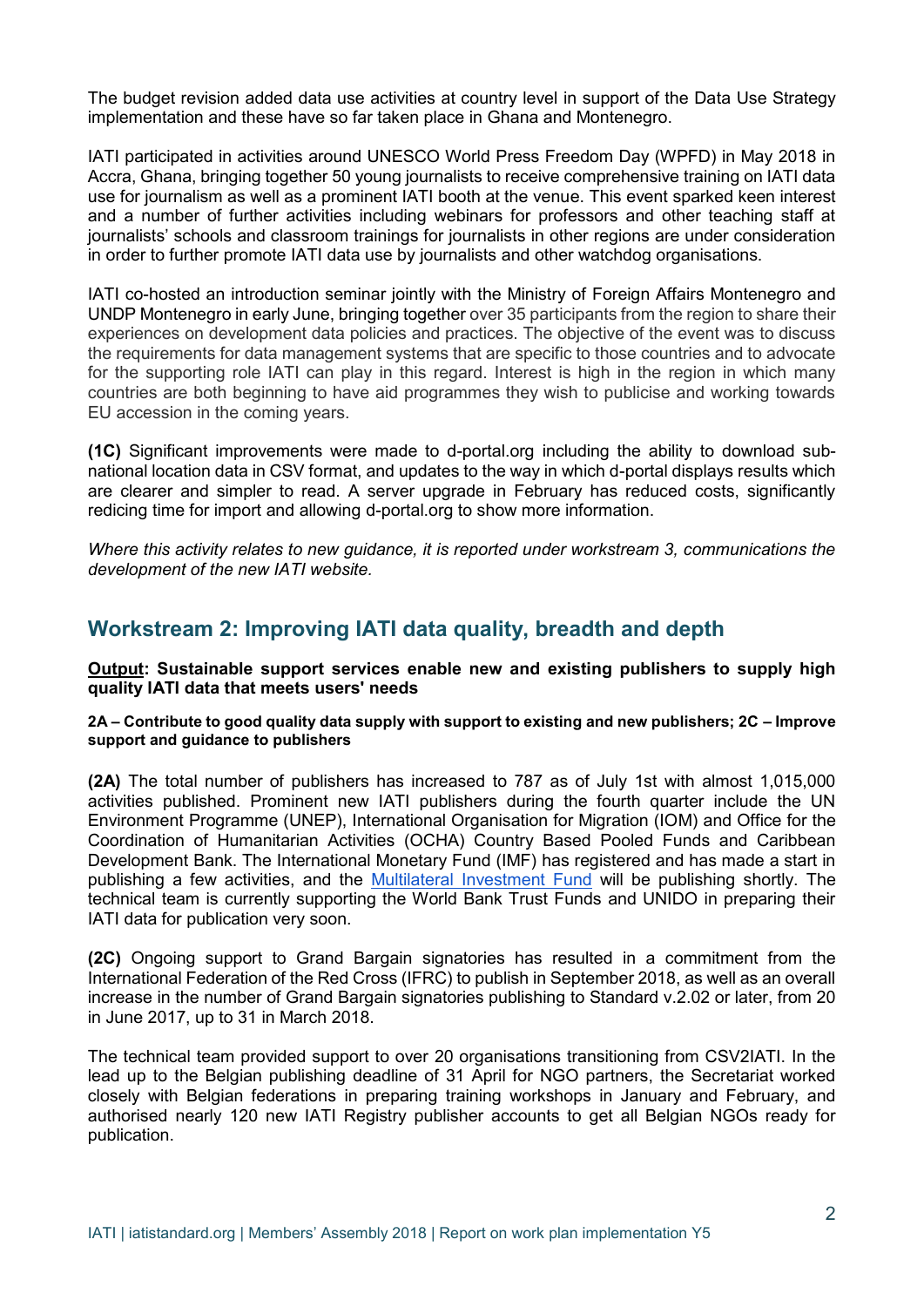The budget revision added data use activities at country level in support of the Data Use Strategy implementation and these have so far taken place in Ghana and Montenegro.

IATI participated in activities around UNESCO World Press Freedom Day (WPFD) in May 2018 in Accra, Ghana, bringing together 50 young journalists to receive comprehensive training on IATI data use for journalism as well as a prominent IATI booth at the venue. This event sparked keen interest and a number of further activities including webinars for professors and other teaching staff at journalists' schools and classroom trainings for journalists in other regions are under consideration in order to further promote IATI data use by journalists and other watchdog organisations.

IATI co-hosted an introduction seminar jointly with the Ministry of Foreign Affairs Montenegro and UNDP Montenegro in early June, bringing together over 35 participants from the region to share their experiences on development data policies and practices. The objective of the event was to discuss the requirements for data management systems that are specific to those countries and to advocate for the supporting role IATI can play in this regard. Interest is high in the region in which many countries are both beginning to have aid programmes they wish to publicise and working towards EU accession in the coming years.

**(1C)** Significant improvements were made to d-portal.org including the ability to download subnational location data in CSV format, and updates to the way in which d-portal displays results which are clearer and simpler to read. A server upgrade in February has reduced costs, significantly redicing time for import and allowing d-portal.org to show more information.

*Where this activity relates to new guidance, it is reported under workstream 3, communications the development of the new IATI website.*

### **Workstream 2: Improving IATI data quality, breadth and depth**

**Output: Sustainable support services enable new and existing publishers to supply high quality IATI data that meets users' needs**

#### **2A – Contribute to good quality data supply with support to existing and new publishers; 2C – Improve support and guidance to publishers**

**(2A)** The total number of publishers has increased to 787 as of July 1st with almost 1,015,000 activities published. Prominent new IATI publishers during the fourth quarter include the UN Environment Programme (UNEP), International Organisation for Migration (IOM) and Office for the Coordination of Humanitarian Activities (OCHA) Country Based Pooled Funds and Caribbean Development Bank. The International Monetary Fund (IMF) has registered and has made a start in publishing a few activities, and the [Multilateral Investment Fund](https://www.fomin.org/) will be publishing shortly. The technical team is currently supporting the World Bank Trust Funds and UNIDO in preparing their IATI data for publication very soon.

**(2C)** Ongoing support to Grand Bargain signatories has resulted in a commitment from the International Federation of the Red Cross (IFRC) to publish in September 2018, as well as an overall increase in the number of Grand Bargain signatories publishing to Standard v.2.02 or later, from 20 in June 2017, up to 31 in March 2018.

The technical team provided support to over 20 organisations transitioning from CSV2IATI. In the lead up to the Belgian publishing deadline of 31 April for NGO partners, the Secretariat worked closely with Belgian federations in preparing training workshops in January and February, and authorised nearly 120 new IATI Registry publisher accounts to get all Belgian NGOs ready for publication.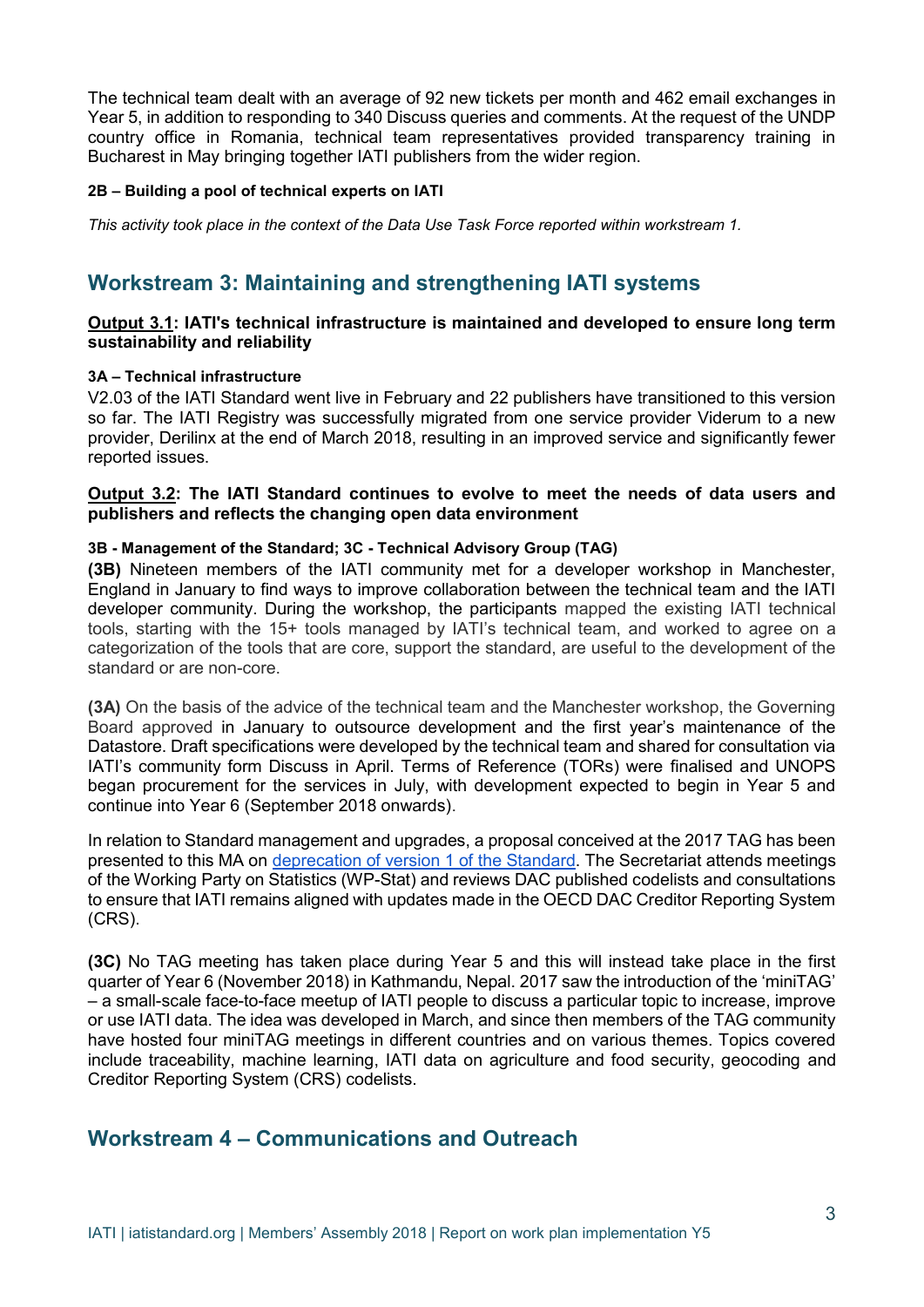The technical team dealt with an average of 92 new tickets per month and 462 email exchanges in Year 5, in addition to responding to 340 Discuss queries and comments. At the request of the UNDP country office in Romania, technical team representatives provided transparency training in Bucharest in May bringing together IATI publishers from the wider region.

#### **2B – Building a pool of technical experts on IATI**

*This activity took place in the context of the Data Use Task Force reported within workstream 1.*

# **Workstream 3: Maintaining and strengthening IATI systems**

#### **Output 3.1: IATI's technical infrastructure is maintained and developed to ensure long term sustainability and reliability**

#### **3A – Technical infrastructure**

V2.03 of the IATI Standard went live in February and 22 publishers have transitioned to this version so far. The IATI Registry was successfully migrated from one service provider Viderum to a new provider, Derilinx at the end of March 2018, resulting in an improved service and significantly fewer reported issues.

#### **Output 3.2: The IATI Standard continues to evolve to meet the needs of data users and publishers and reflects the changing open data environment**

#### **3B - Management of the Standard; 3C - Technical Advisory Group (TAG)**

**(3B)** Nineteen members of the IATI community met for a developer workshop in Manchester, England in January to find ways to improve collaboration between the technical team and the IATI developer community. During the workshop, the participants mapped the existing IATI technical tools, starting with the 15+ tools managed by IATI's technical team, and worked to agree on a categorization of the tools that are core, support the standard, are useful to the development of the standard or are non-core.

**(3A)** On the basis of the advice of the technical team and the Manchester workshop, the Governing Board approved in January to outsource development and the first year's maintenance of the Datastore. Draft specifications were developed by the technical team and shared for consultation via IATI's community form Discuss in April. Terms of Reference (TORs) were finalised and UNOPS began procurement for the services in July, with development expected to begin in Year 5 and continue into Year 6 (September 2018 onwards).

In relation to Standard management and upgrades, a proposal conceived at the 2017 TAG has been presented to this MA on [deprecation of version 1 of the Standard.](https://www.aidtransparency.net/wp-content/uploads/2018/06/B.-Proposal-on-deprecation-of-Version-1-of-the-IATI-Standard.pdf) The Secretariat attends meetings of the Working Party on Statistics (WP-Stat) and reviews DAC published codelists and consultations to ensure that IATI remains aligned with updates made in the OECD DAC Creditor Reporting System (CRS).

**(3C)** No TAG meeting has taken place during Year 5 and this will instead take place in the first quarter of Year 6 (November 2018) in Kathmandu, Nepal. 2017 saw the introduction of the 'miniTAG' – a small-scale face-to-face meetup of IATI people to discuss a particular topic to increase, improve or use IATI data. The idea was developed in March, and since then members of the TAG community have hosted four miniTAG meetings in different countries and on various themes. Topics covered include traceability, machine learning, IATI data on agriculture and food security, geocoding and Creditor Reporting System (CRS) codelists.

# **Workstream 4 – Communications and Outreach**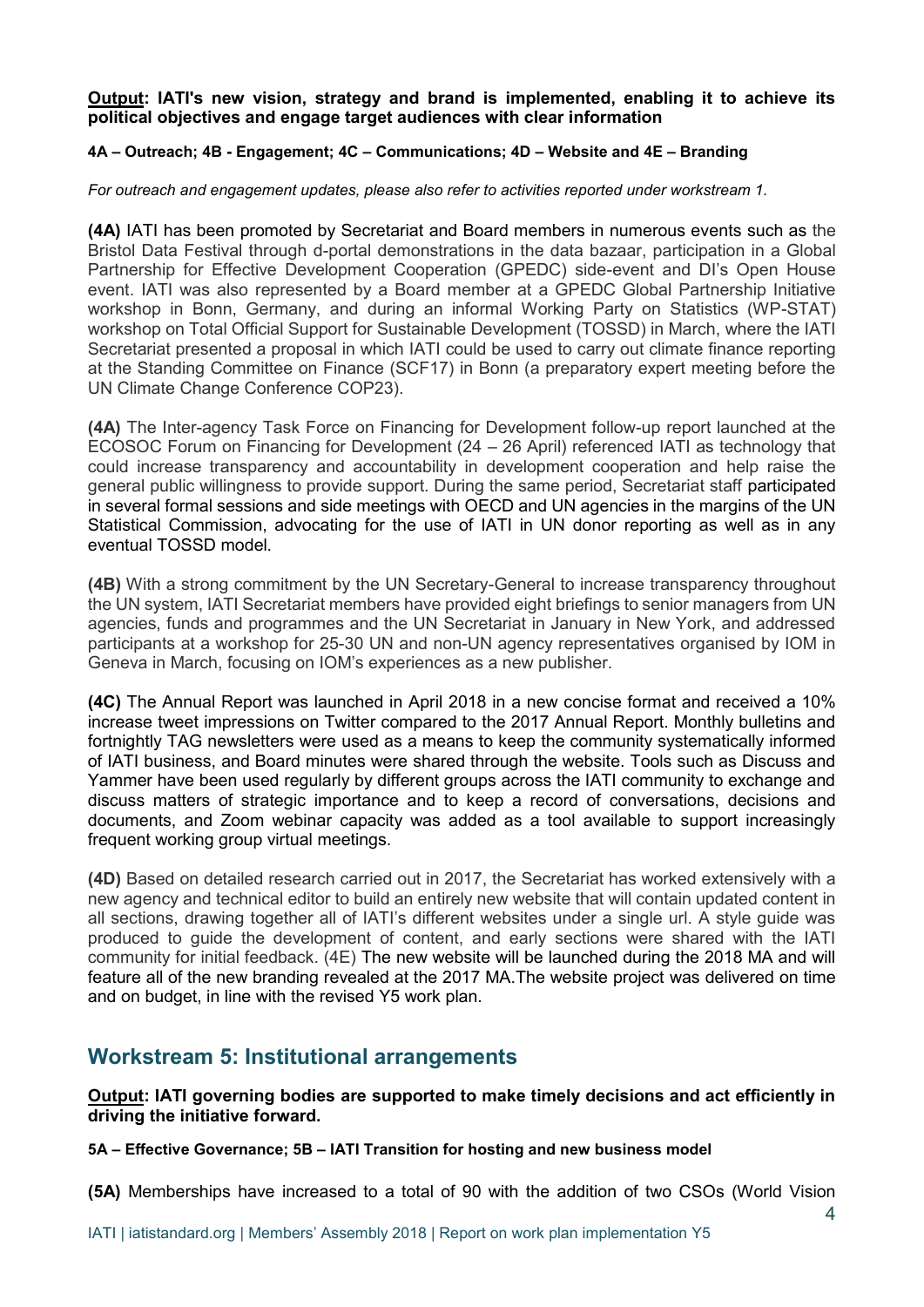**Output: IATI's new vision, strategy and brand is implemented, enabling it to achieve its political objectives and engage target audiences with clear information**

#### **4A – Outreach; 4B - Engagement; 4C – Communications; 4D – Website and 4E – Branding**

*For outreach and engagement updates, please also refer to activities reported under workstream 1.* 

**(4A)** IATI has been promoted by Secretariat and Board members in numerous events such as the Bristol Data Festival through d-portal demonstrations in the data bazaar, participation in a Global Partnership for Effective Development Cooperation (GPEDC) side-event and DI's Open House event. IATI was also represented by a Board member at a GPEDC Global Partnership Initiative workshop in Bonn, Germany, and during an informal Working Party on Statistics (WP-STAT) workshop on Total Official Support for Sustainable Development (TOSSD) in March, where the IATI Secretariat presented a proposal in which IATI could be used to carry out climate finance reporting at the Standing Committee on Finance (SCF17) in Bonn (a preparatory expert meeting before the UN Climate Change Conference COP23).

**(4A)** The Inter-agency Task Force on Financing for Development follow-up report launched at the ECOSOC Forum on Financing for Development (24 – 26 April) referenced IATI as technology that could increase transparency and accountability in development cooperation and help raise the general public willingness to provide support. During the same period, Secretariat staff participated in several formal sessions and side meetings with OECD and UN agencies in the margins of the UN Statistical Commission, advocating for the use of IATI in UN donor reporting as well as in any eventual TOSSD model.

**(4B)** With a strong commitment by the UN Secretary-General to increase transparency throughout the UN system, IATI Secretariat members have provided eight briefings to senior managers from UN agencies, funds and programmes and the UN Secretariat in January in New York, and addressed participants at a workshop for 25-30 UN and non-UN agency representatives organised by IOM in Geneva in March, focusing on IOM's experiences as a new publisher.

**(4C)** The Annual Report was launched in April 2018 in a new concise format and received a 10% increase tweet impressions on Twitter compared to the 2017 Annual Report. Monthly bulletins and fortnightly TAG newsletters were used as a means to keep the community systematically informed of IATI business, and Board minutes were shared through the website. Tools such as Discuss and Yammer have been used regularly by different groups across the IATI community to exchange and discuss matters of strategic importance and to keep a record of conversations, decisions and documents, and Zoom webinar capacity was added as a tool available to support increasingly frequent working group virtual meetings.

**(4D)** Based on detailed research carried out in 2017, the Secretariat has worked extensively with a new agency and technical editor to build an entirely new website that will contain updated content in all sections, drawing together all of IATI's different websites under a single url. A style guide was produced to guide the development of content, and early sections were shared with the IATI community for initial feedback. (4E) The new website will be launched during the 2018 MA and will feature all of the new branding revealed at the 2017 MA.The website project was delivered on time and on budget, in line with the revised Y5 work plan.

### **Workstream 5: Institutional arrangements**

**Output: IATI governing bodies are supported to make timely decisions and act efficiently in driving the initiative forward.**

**5A – Effective Governance; 5B – IATI Transition for hosting and new business model**

**(5A)** Memberships have increased to a total of 90 with the addition of two CSOs (World Vision